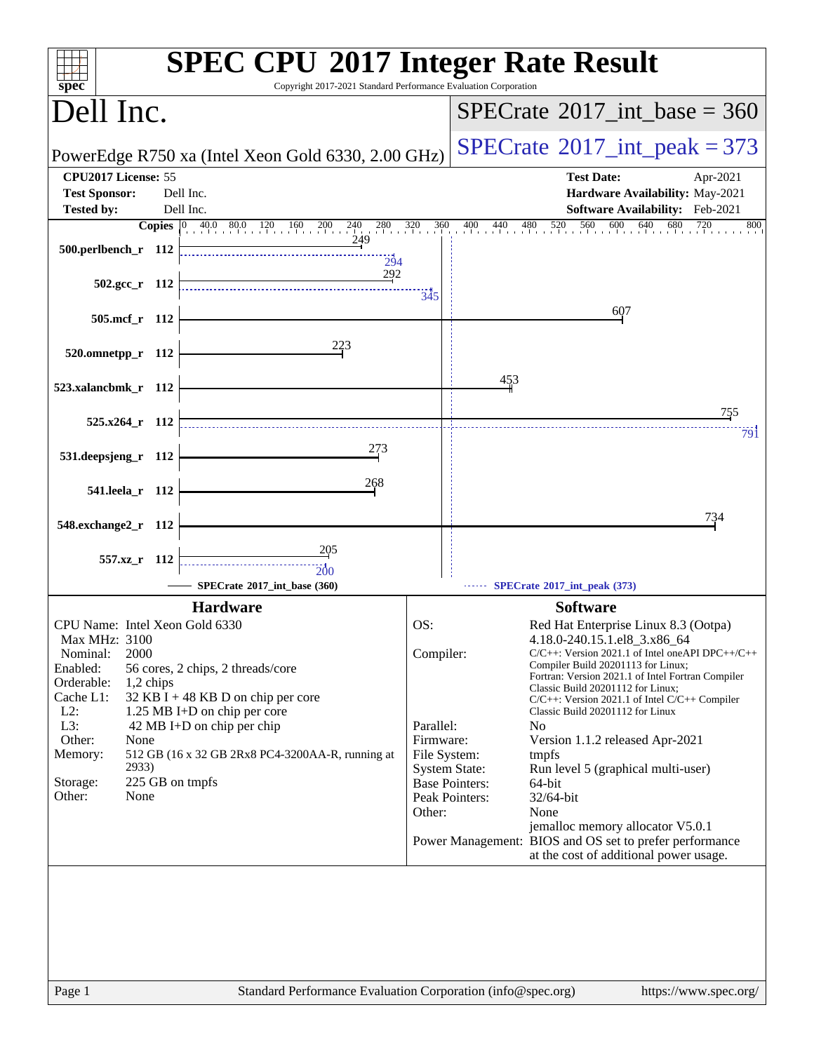| spec <sup>®</sup>                                                                                                                                                                                                                                                                                                                                                                                                                                 | <b>SPEC CPU®2017 Integer Rate Result</b><br>Copyright 2017-2021 Standard Performance Evaluation Corporation                                                                                                                                                                                                                                                                                                                                                                                                                                                                                                                                                                                                                                                                                        |
|---------------------------------------------------------------------------------------------------------------------------------------------------------------------------------------------------------------------------------------------------------------------------------------------------------------------------------------------------------------------------------------------------------------------------------------------------|----------------------------------------------------------------------------------------------------------------------------------------------------------------------------------------------------------------------------------------------------------------------------------------------------------------------------------------------------------------------------------------------------------------------------------------------------------------------------------------------------------------------------------------------------------------------------------------------------------------------------------------------------------------------------------------------------------------------------------------------------------------------------------------------------|
| Dell Inc.                                                                                                                                                                                                                                                                                                                                                                                                                                         | $SPECrate^{\circ}2017\_int\_base = 360$                                                                                                                                                                                                                                                                                                                                                                                                                                                                                                                                                                                                                                                                                                                                                            |
| PowerEdge R750 xa (Intel Xeon Gold 6330, 2.00 GHz)                                                                                                                                                                                                                                                                                                                                                                                                | $SPECTate@2017_int\_peak = 373$                                                                                                                                                                                                                                                                                                                                                                                                                                                                                                                                                                                                                                                                                                                                                                    |
| CPU2017 License: 55                                                                                                                                                                                                                                                                                                                                                                                                                               | <b>Test Date:</b><br>Apr-2021                                                                                                                                                                                                                                                                                                                                                                                                                                                                                                                                                                                                                                                                                                                                                                      |
| <b>Test Sponsor:</b><br>Dell Inc.                                                                                                                                                                                                                                                                                                                                                                                                                 | Hardware Availability: May-2021                                                                                                                                                                                                                                                                                                                                                                                                                                                                                                                                                                                                                                                                                                                                                                    |
| Dell Inc.<br><b>Tested by:</b><br><b>Copies</b> 0 40.0 80.0 120 160 200 240<br>$^{280}$                                                                                                                                                                                                                                                                                                                                                           | Software Availability: Feb-2021<br>$\frac{320}{1}$<br>560<br>$600$ $640$<br>680<br>360<br>$\frac{400}{1}$<br>$440$ $480$ $520$<br>720<br>800                                                                                                                                                                                                                                                                                                                                                                                                                                                                                                                                                                                                                                                       |
| 249<br>500.perlbench_r 112<br>294                                                                                                                                                                                                                                                                                                                                                                                                                 |                                                                                                                                                                                                                                                                                                                                                                                                                                                                                                                                                                                                                                                                                                                                                                                                    |
| 292<br>$502.\text{gcc r}$ 112                                                                                                                                                                                                                                                                                                                                                                                                                     | 345                                                                                                                                                                                                                                                                                                                                                                                                                                                                                                                                                                                                                                                                                                                                                                                                |
| 505.mcf r 112                                                                                                                                                                                                                                                                                                                                                                                                                                     | 607                                                                                                                                                                                                                                                                                                                                                                                                                                                                                                                                                                                                                                                                                                                                                                                                |
| 223<br>520.omnetpp_r 112                                                                                                                                                                                                                                                                                                                                                                                                                          |                                                                                                                                                                                                                                                                                                                                                                                                                                                                                                                                                                                                                                                                                                                                                                                                    |
| 523.xalancbmk_r 112                                                                                                                                                                                                                                                                                                                                                                                                                               | 453<br>755                                                                                                                                                                                                                                                                                                                                                                                                                                                                                                                                                                                                                                                                                                                                                                                         |
| $525.x264$ r 112                                                                                                                                                                                                                                                                                                                                                                                                                                  | 791                                                                                                                                                                                                                                                                                                                                                                                                                                                                                                                                                                                                                                                                                                                                                                                                |
| 273<br>531.deepsjeng_r 112                                                                                                                                                                                                                                                                                                                                                                                                                        |                                                                                                                                                                                                                                                                                                                                                                                                                                                                                                                                                                                                                                                                                                                                                                                                    |
| 268<br>541.leela_r 112                                                                                                                                                                                                                                                                                                                                                                                                                            |                                                                                                                                                                                                                                                                                                                                                                                                                                                                                                                                                                                                                                                                                                                                                                                                    |
| 548.exchange2_r 112                                                                                                                                                                                                                                                                                                                                                                                                                               | 734                                                                                                                                                                                                                                                                                                                                                                                                                                                                                                                                                                                                                                                                                                                                                                                                |
| 205<br>557.xz r 112<br>200                                                                                                                                                                                                                                                                                                                                                                                                                        |                                                                                                                                                                                                                                                                                                                                                                                                                                                                                                                                                                                                                                                                                                                                                                                                    |
| SPECrate®2017_int_base (360)                                                                                                                                                                                                                                                                                                                                                                                                                      | SPECrate®2017_int_peak (373)                                                                                                                                                                                                                                                                                                                                                                                                                                                                                                                                                                                                                                                                                                                                                                       |
| <b>Hardware</b><br>CPU Name: Intel Xeon Gold 6330<br>Max MHz: 3100<br>2000<br>Nominal:<br>Enabled:<br>56 cores, 2 chips, 2 threads/core<br>Orderable:<br>$1,2$ chips<br>Cache L1:<br>32 KB I + 48 KB D on chip per core<br>$L2$ :<br>1.25 MB I+D on chip per core<br>L3:<br>42 MB I+D on chip per chip<br>Other:<br>None<br>Memory:<br>512 GB (16 x 32 GB 2Rx8 PC4-3200AA-R, running at<br>2933)<br>225 GB on tmpfs<br>Storage:<br>Other:<br>None | <b>Software</b><br>OS:<br>Red Hat Enterprise Linux 8.3 (Ootpa)<br>4.18.0-240.15.1.el8_3.x86_64<br>Compiler:<br>$C/C++$ : Version 2021.1 of Intel one API DPC++/C++<br>Compiler Build 20201113 for Linux;<br>Fortran: Version 2021.1 of Intel Fortran Compiler<br>Classic Build 20201112 for Linux;<br>$C/C++$ : Version 2021.1 of Intel $C/C++$ Compiler<br>Classic Build 20201112 for Linux<br>Parallel:<br>N <sub>0</sub><br>Firmware:<br>Version 1.1.2 released Apr-2021<br>File System:<br>tmpfs<br><b>System State:</b><br>Run level 5 (graphical multi-user)<br><b>Base Pointers:</b><br>$64$ -bit<br>Peak Pointers:<br>32/64-bit<br>None<br>Other:<br>jemalloc memory allocator V5.0.1<br>Power Management: BIOS and OS set to prefer performance<br>at the cost of additional power usage. |
| Page 1                                                                                                                                                                                                                                                                                                                                                                                                                                            | Standard Performance Evaluation Corporation (info@spec.org)<br>https://www.spec.org/                                                                                                                                                                                                                                                                                                                                                                                                                                                                                                                                                                                                                                                                                                               |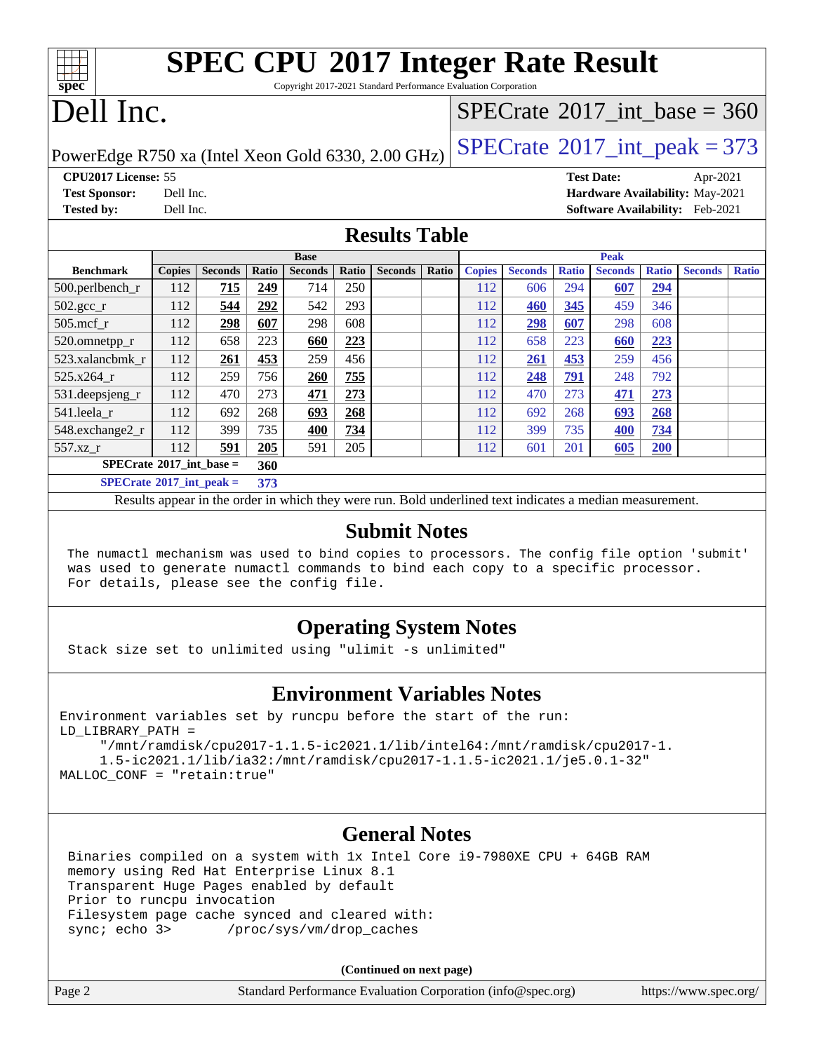| <b>SPEC CPU®2017 Integer Rate Result</b>                        |
|-----------------------------------------------------------------|
|                                                                 |
| Copyright 2017-2021 Standard Performance Evaluation Corporation |
|                                                                 |

# Dell Inc.

**[spec](http://www.spec.org/)**

## $SPECTate$ <sup>®</sup>[2017\\_int\\_base =](http://www.spec.org/auto/cpu2017/Docs/result-fields.html#SPECrate2017intbase) 360

PowerEdge R750 xa (Intel Xeon Gold 6330, 2.00 GHz)  $\left|$  [SPECrate](http://www.spec.org/auto/cpu2017/Docs/result-fields.html#SPECrate2017intpeak)<sup>®</sup>[2017\\_int\\_peak = 3](http://www.spec.org/auto/cpu2017/Docs/result-fields.html#SPECrate2017intpeak)73

**[CPU2017 License:](http://www.spec.org/auto/cpu2017/Docs/result-fields.html#CPU2017License)** 55 **[Test Date:](http://www.spec.org/auto/cpu2017/Docs/result-fields.html#TestDate)** Apr-2021 **[Test Sponsor:](http://www.spec.org/auto/cpu2017/Docs/result-fields.html#TestSponsor)** Dell Inc. **[Hardware Availability:](http://www.spec.org/auto/cpu2017/Docs/result-fields.html#HardwareAvailability)** May-2021 **[Tested by:](http://www.spec.org/auto/cpu2017/Docs/result-fields.html#Testedby)** Dell Inc. **[Software Availability:](http://www.spec.org/auto/cpu2017/Docs/result-fields.html#SoftwareAvailability)** Feb-2021

#### **[Results Table](http://www.spec.org/auto/cpu2017/Docs/result-fields.html#ResultsTable)**

| <b>Base</b>                              |               |                |       |                | <b>Peak</b> |                |       |               |                |              |                |              |                |              |
|------------------------------------------|---------------|----------------|-------|----------------|-------------|----------------|-------|---------------|----------------|--------------|----------------|--------------|----------------|--------------|
| <b>Benchmark</b>                         | <b>Copies</b> | <b>Seconds</b> | Ratio | <b>Seconds</b> | Ratio       | <b>Seconds</b> | Ratio | <b>Copies</b> | <b>Seconds</b> | <b>Ratio</b> | <b>Seconds</b> | <b>Ratio</b> | <b>Seconds</b> | <b>Ratio</b> |
| 500.perlbench_r                          | 112           | 715            | 249   | 714            | 250         |                |       | 112           | 606            | 294          | 607            | 294          |                |              |
| $502.\text{gcc}$ _r                      | 112           | 544            | 292   | 542            | 293         |                |       | 112           | 460            | 345          | 459            | 346          |                |              |
| $505$ .mcf r                             | 112           | 298            | 607   | 298            | 608         |                |       | 112           | 298            | 607          | 298            | 608          |                |              |
| 520.omnetpp_r                            | 112           | 658            | 223   | 660            | 223         |                |       | 112           | 658            | 223          | 660            | 223          |                |              |
| 523.xalancbmk r                          | 112           | 261            | 453   | 259            | 456         |                |       | 112           | 261            | 453          | 259            | 456          |                |              |
| 525.x264 r                               | 112           | 259            | 756   | 260            | 755         |                |       | 112           | 248            | 791          | 248            | 792          |                |              |
| 531.deepsjeng_r                          | 112           | 470            | 273   | 471            | 273         |                |       | 112           | 470            | 273          | 471            | 273          |                |              |
| 541.leela r                              | 112           | 692            | 268   | 693            | 268         |                |       | 112           | 692            | 268          | 693            | 268          |                |              |
| 548.exchange2_r                          | 112           | 399            | 735   | 400            | 734         |                |       | 112           | 399            | 735          | 400            | 734          |                |              |
| 557.xz r                                 | 112           | 591            | 205   | 591            | 205         |                |       | 112           | 601            | 201          | 605            | 200          |                |              |
| $SPECrate^{\circ}2017$ int base =<br>360 |               |                |       |                |             |                |       |               |                |              |                |              |                |              |
| $SPECrate^{\circ}2017\_int\_peak =$      |               |                | 373   |                |             |                |       |               |                |              |                |              |                |              |

Results appear in the [order in which they were run](http://www.spec.org/auto/cpu2017/Docs/result-fields.html#RunOrder). Bold underlined text [indicates a median measurement](http://www.spec.org/auto/cpu2017/Docs/result-fields.html#Median).

#### **[Submit Notes](http://www.spec.org/auto/cpu2017/Docs/result-fields.html#SubmitNotes)**

 The numactl mechanism was used to bind copies to processors. The config file option 'submit' was used to generate numactl commands to bind each copy to a specific processor. For details, please see the config file.

### **[Operating System Notes](http://www.spec.org/auto/cpu2017/Docs/result-fields.html#OperatingSystemNotes)**

Stack size set to unlimited using "ulimit -s unlimited"

#### **[Environment Variables Notes](http://www.spec.org/auto/cpu2017/Docs/result-fields.html#EnvironmentVariablesNotes)**

Environment variables set by runcpu before the start of the run: LD\_LIBRARY\_PATH =

 "/mnt/ramdisk/cpu2017-1.1.5-ic2021.1/lib/intel64:/mnt/ramdisk/cpu2017-1. 1.5-ic2021.1/lib/ia32:/mnt/ramdisk/cpu2017-1.1.5-ic2021.1/je5.0.1-32" MALLOC\_CONF = "retain:true"

#### **[General Notes](http://www.spec.org/auto/cpu2017/Docs/result-fields.html#GeneralNotes)**

 Binaries compiled on a system with 1x Intel Core i9-7980XE CPU + 64GB RAM memory using Red Hat Enterprise Linux 8.1 Transparent Huge Pages enabled by default Prior to runcpu invocation Filesystem page cache synced and cleared with: sync; echo 3> /proc/sys/vm/drop\_caches

**(Continued on next page)**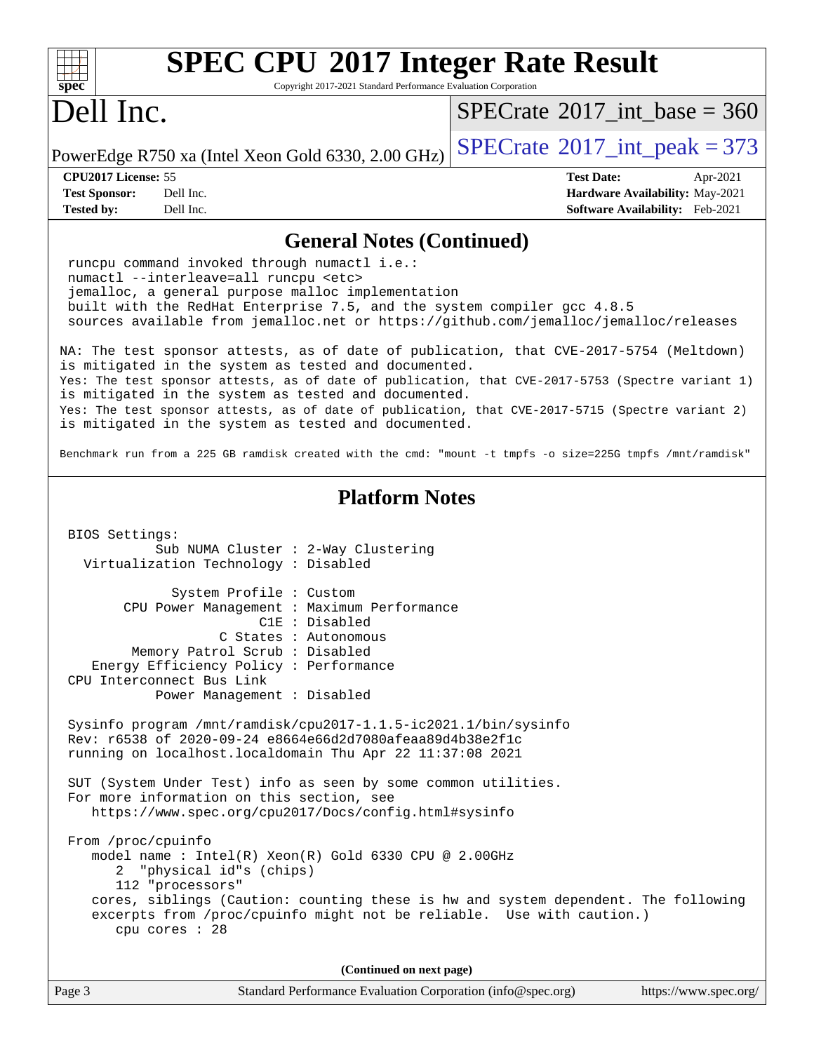| <b>SPEC CPU®2017 Integer Rate Result</b>                                                                                                                                                                                                                                                                               |                                             |  |
|------------------------------------------------------------------------------------------------------------------------------------------------------------------------------------------------------------------------------------------------------------------------------------------------------------------------|---------------------------------------------|--|
| Spec<br>Copyright 2017-2021 Standard Performance Evaluation Corporation<br>Dell Inc.                                                                                                                                                                                                                                   | $SPECrate^{\circ}2017\_int\_base = 360$     |  |
| PowerEdge R750 xa (Intel Xeon Gold 6330, 2.00 GHz)                                                                                                                                                                                                                                                                     | $SPECTate$ <sup>®</sup> 2017_int_peak = 373 |  |
| CPU2017 License: 55                                                                                                                                                                                                                                                                                                    | <b>Test Date:</b><br>Apr-2021               |  |
| <b>Test Sponsor:</b><br>Dell Inc.                                                                                                                                                                                                                                                                                      | Hardware Availability: May-2021             |  |
| <b>Tested by:</b><br>Dell Inc.                                                                                                                                                                                                                                                                                         | Software Availability: Feb-2021             |  |
| <b>General Notes (Continued)</b>                                                                                                                                                                                                                                                                                       |                                             |  |
| runcpu command invoked through numactl i.e.:<br>numactl --interleave=all runcpu <etc><br/>jemalloc, a general purpose malloc implementation<br/>built with the RedHat Enterprise 7.5, and the system compiler gcc 4.8.5<br/>sources available from jemalloc.net or https://github.com/jemalloc/jemalloc/releases</etc> |                                             |  |
| NA: The test sponsor attests, as of date of publication, that CVE-2017-5754 (Meltdown)                                                                                                                                                                                                                                 |                                             |  |
| is mitigated in the system as tested and documented.<br>Yes: The test sponsor attests, as of date of publication, that CVE-2017-5753 (Spectre variant 1)                                                                                                                                                               |                                             |  |
| is mitigated in the system as tested and documented.                                                                                                                                                                                                                                                                   |                                             |  |
| Yes: The test sponsor attests, as of date of publication, that CVE-2017-5715 (Spectre variant 2)<br>is mitigated in the system as tested and documented.                                                                                                                                                               |                                             |  |
| Benchmark run from a 225 GB ramdisk created with the cmd: "mount -t tmpfs -o size=225G tmpfs /mnt/ramdisk"                                                                                                                                                                                                             |                                             |  |
| <b>Platform Notes</b>                                                                                                                                                                                                                                                                                                  |                                             |  |
| BIOS Settings:                                                                                                                                                                                                                                                                                                         |                                             |  |
| Sub NUMA Cluster : 2-Way Clustering<br>Virtualization Technology : Disabled                                                                                                                                                                                                                                            |                                             |  |
| System Profile : Custom                                                                                                                                                                                                                                                                                                |                                             |  |
| CPU Power Management : Maximum Performance                                                                                                                                                                                                                                                                             |                                             |  |
| C1E : Disabled                                                                                                                                                                                                                                                                                                         |                                             |  |
| C States : Autonomous<br>Memory Patrol Scrub : Disabled                                                                                                                                                                                                                                                                |                                             |  |
| Energy Efficiency Policy : Performance                                                                                                                                                                                                                                                                                 |                                             |  |
| CPU Interconnect Bus Link                                                                                                                                                                                                                                                                                              |                                             |  |
| Power Management : Disabled                                                                                                                                                                                                                                                                                            |                                             |  |
| Sysinfo program /mnt/ramdisk/cpu2017-1.1.5-ic2021.1/bin/sysinfo                                                                                                                                                                                                                                                        |                                             |  |
| Rev: r6538 of 2020-09-24 e8664e66d2d7080afeaa89d4b38e2f1c                                                                                                                                                                                                                                                              |                                             |  |
| running on localhost.localdomain Thu Apr 22 11:37:08 2021                                                                                                                                                                                                                                                              |                                             |  |
| SUT (System Under Test) info as seen by some common utilities.                                                                                                                                                                                                                                                         |                                             |  |
| For more information on this section, see                                                                                                                                                                                                                                                                              |                                             |  |
| https://www.spec.org/cpu2017/Docs/config.html#sysinfo                                                                                                                                                                                                                                                                  |                                             |  |
| From /proc/cpuinfo                                                                                                                                                                                                                                                                                                     |                                             |  |
| model name : Intel(R) Xeon(R) Gold 6330 CPU @ 2.00GHz<br>"physical id"s (chips)<br>2                                                                                                                                                                                                                                   |                                             |  |
| 112 "processors"                                                                                                                                                                                                                                                                                                       |                                             |  |
| cores, siblings (Caution: counting these is hw and system dependent. The following<br>excerpts from /proc/cpuinfo might not be reliable. Use with caution.)<br>cpu cores : 28                                                                                                                                          |                                             |  |
|                                                                                                                                                                                                                                                                                                                        |                                             |  |
| (Continued on next page)<br>Page 3<br>Standard Performance Evaluation Corporation (info@spec.org)                                                                                                                                                                                                                      | https://www.spec.org/                       |  |
|                                                                                                                                                                                                                                                                                                                        |                                             |  |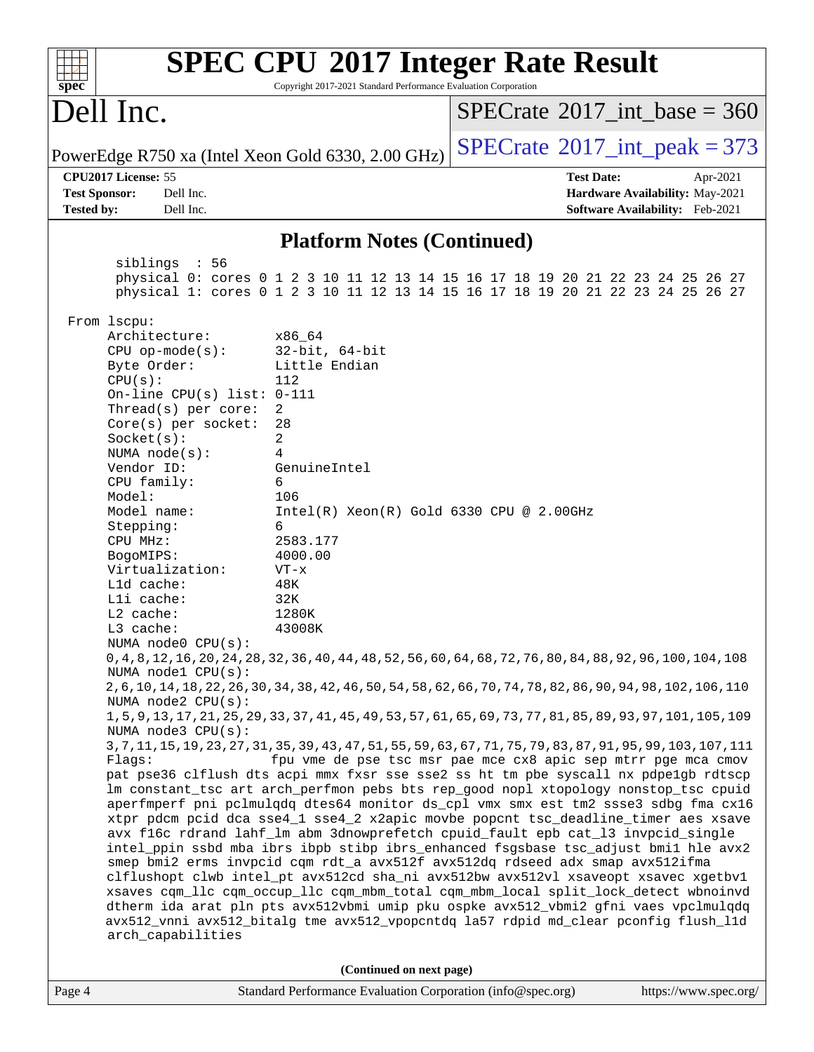| <b>SPEC CPU®2017 Integer Rate Result</b><br>Copyright 2017-2021 Standard Performance Evaluation Corporation<br>$spec^*$                                                                                                                                                                                                                                                                                                                                                                               |                                                                                                                                                                                                                                           |                                                                                                                                                                                                                                                                                                                                                                                                                                                                                                                                                                                                                                                                                                                                                                                                                                                                                                                                                                                                                                                                                                                                                                                                                                                                                                                                                                                                                                                                                                                        |  |  |  |
|-------------------------------------------------------------------------------------------------------------------------------------------------------------------------------------------------------------------------------------------------------------------------------------------------------------------------------------------------------------------------------------------------------------------------------------------------------------------------------------------------------|-------------------------------------------------------------------------------------------------------------------------------------------------------------------------------------------------------------------------------------------|------------------------------------------------------------------------------------------------------------------------------------------------------------------------------------------------------------------------------------------------------------------------------------------------------------------------------------------------------------------------------------------------------------------------------------------------------------------------------------------------------------------------------------------------------------------------------------------------------------------------------------------------------------------------------------------------------------------------------------------------------------------------------------------------------------------------------------------------------------------------------------------------------------------------------------------------------------------------------------------------------------------------------------------------------------------------------------------------------------------------------------------------------------------------------------------------------------------------------------------------------------------------------------------------------------------------------------------------------------------------------------------------------------------------------------------------------------------------------------------------------------------------|--|--|--|
| Dell Inc.                                                                                                                                                                                                                                                                                                                                                                                                                                                                                             |                                                                                                                                                                                                                                           | $SPECTate$ <sup>®</sup> 2017_int_base = 360                                                                                                                                                                                                                                                                                                                                                                                                                                                                                                                                                                                                                                                                                                                                                                                                                                                                                                                                                                                                                                                                                                                                                                                                                                                                                                                                                                                                                                                                            |  |  |  |
|                                                                                                                                                                                                                                                                                                                                                                                                                                                                                                       | PowerEdge R750 xa (Intel Xeon Gold 6330, 2.00 GHz)                                                                                                                                                                                        | $SPECTate$ <sup>®</sup> 2017_int_peak = 373                                                                                                                                                                                                                                                                                                                                                                                                                                                                                                                                                                                                                                                                                                                                                                                                                                                                                                                                                                                                                                                                                                                                                                                                                                                                                                                                                                                                                                                                            |  |  |  |
| CPU2017 License: 55<br><b>Test Sponsor:</b><br>Dell Inc.<br><b>Tested by:</b><br>Dell Inc.                                                                                                                                                                                                                                                                                                                                                                                                            |                                                                                                                                                                                                                                           | <b>Test Date:</b><br>Apr-2021<br>Hardware Availability: May-2021<br>Software Availability: Feb-2021                                                                                                                                                                                                                                                                                                                                                                                                                                                                                                                                                                                                                                                                                                                                                                                                                                                                                                                                                                                                                                                                                                                                                                                                                                                                                                                                                                                                                    |  |  |  |
|                                                                                                                                                                                                                                                                                                                                                                                                                                                                                                       | <b>Platform Notes (Continued)</b>                                                                                                                                                                                                         |                                                                                                                                                                                                                                                                                                                                                                                                                                                                                                                                                                                                                                                                                                                                                                                                                                                                                                                                                                                                                                                                                                                                                                                                                                                                                                                                                                                                                                                                                                                        |  |  |  |
| siblings : 56                                                                                                                                                                                                                                                                                                                                                                                                                                                                                         |                                                                                                                                                                                                                                           | physical 0: cores 0 1 2 3 10 11 12 13 14 15 16 17 18 19 20 21 22 23 24 25 26 27<br>physical 1: cores 0 1 2 3 10 11 12 13 14 15 16 17 18 19 20 21 22 23 24 25 26 27                                                                                                                                                                                                                                                                                                                                                                                                                                                                                                                                                                                                                                                                                                                                                                                                                                                                                                                                                                                                                                                                                                                                                                                                                                                                                                                                                     |  |  |  |
| From lscpu:<br>Architecture:<br>$CPU$ op-mode( $s$ ):<br>Byte Order:<br>CPU(s):<br>On-line CPU(s) list: $0-111$<br>Thread(s) per core:<br>Core(s) per socket:<br>Socket(s):<br>NUMA $node(s):$<br>Vendor ID:<br>CPU family:<br>Model:<br>Model name:<br>Stepping:<br>CPU MHz:<br>BogoMIPS:<br>Virtualization:<br>L1d cache:<br>Lli cache:<br>$L2$ cache:<br>L3 cache:<br>NUMA $node0$ $CPU(s):$<br>NUMA nodel CPU(s):<br>NUMA $node2$ $CPU(s)$ :<br>NUMA node3 CPU(s):<br>Flaqs:<br>arch_capabilities | x86_64<br>$32$ -bit, $64$ -bit<br>Little Endian<br>112<br>2<br>28<br>$\overline{a}$<br>4<br>GenuineIntel<br>6<br>106<br>Intel(R) Xeon(R) Gold 6330 CPU @ 2.00GHz<br>6<br>2583.177<br>4000.00<br>$VT - x$<br>48K<br>32K<br>1280K<br>43008K | 0, 4, 8, 12, 16, 20, 24, 28, 32, 36, 40, 44, 48, 52, 56, 60, 64, 68, 72, 76, 80, 84, 88, 92, 96, 100, 104, 108<br>2, 6, 10, 14, 18, 22, 26, 30, 34, 38, 42, 46, 50, 54, 58, 62, 66, 70, 74, 78, 82, 86, 90, 94, 98, 102, 106, 110<br>1, 5, 9, 13, 17, 21, 25, 29, 33, 37, 41, 45, 49, 53, 57, 61, 65, 69, 73, 77, 81, 85, 89, 93, 97, 101, 105, 109<br>3, 7, 11, 15, 19, 23, 27, 31, 35, 39, 43, 47, 51, 55, 59, 63, 67, 71, 75, 79, 83, 87, 91, 95, 99, 103, 107, 111<br>fpu vme de pse tsc msr pae mce cx8 apic sep mtrr pge mca cmov<br>pat pse36 clflush dts acpi mmx fxsr sse sse2 ss ht tm pbe syscall nx pdpelgb rdtscp<br>lm constant_tsc art arch_perfmon pebs bts rep_good nopl xtopology nonstop_tsc cpuid<br>aperfmperf pni pclmulqdq dtes64 monitor ds_cpl vmx smx est tm2 ssse3 sdbg fma cx16<br>xtpr pdcm pcid dca sse4_1 sse4_2 x2apic movbe popcnt tsc_deadline_timer aes xsave<br>avx f16c rdrand lahf_lm abm 3dnowprefetch cpuid_fault epb cat_13 invpcid_single<br>intel_ppin ssbd mba ibrs ibpb stibp ibrs_enhanced fsgsbase tsc_adjust bmil hle avx2<br>smep bmi2 erms invpcid cqm rdt_a avx512f avx512dq rdseed adx smap avx512ifma<br>clflushopt clwb intel_pt avx512cd sha_ni avx512bw avx512vl xsaveopt xsavec xgetbvl<br>xsaves cqm_llc cqm_occup_llc cqm_mbm_total cqm_mbm_local split_lock_detect wbnoinvd<br>dtherm ida arat pln pts avx512vbmi umip pku ospke avx512_vbmi2 gfni vaes vpclmulqdq<br>avx512_vnni avx512_bitalg tme avx512_vpopcntdq la57 rdpid md_clear pconfig flush_11d |  |  |  |
|                                                                                                                                                                                                                                                                                                                                                                                                                                                                                                       | (Continued on next page)                                                                                                                                                                                                                  |                                                                                                                                                                                                                                                                                                                                                                                                                                                                                                                                                                                                                                                                                                                                                                                                                                                                                                                                                                                                                                                                                                                                                                                                                                                                                                                                                                                                                                                                                                                        |  |  |  |
| Page 4                                                                                                                                                                                                                                                                                                                                                                                                                                                                                                | Standard Performance Evaluation Corporation (info@spec.org)                                                                                                                                                                               | https://www.spec.org/                                                                                                                                                                                                                                                                                                                                                                                                                                                                                                                                                                                                                                                                                                                                                                                                                                                                                                                                                                                                                                                                                                                                                                                                                                                                                                                                                                                                                                                                                                  |  |  |  |

ľ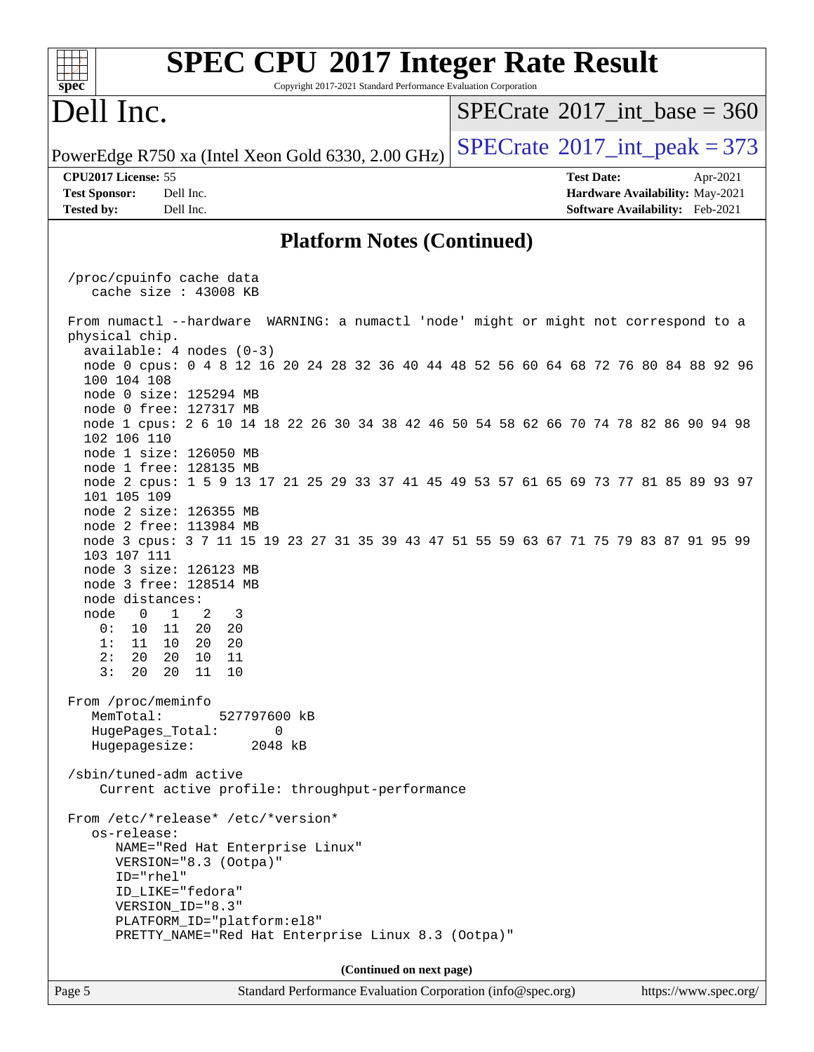#### **[SPEC CPU](http://www.spec.org/auto/cpu2017/Docs/result-fields.html#SPECCPU2017IntegerRateResult)[2017 Integer Rate Result](http://www.spec.org/auto/cpu2017/Docs/result-fields.html#SPECCPU2017IntegerRateResult)**  $+\ +$ **[spec](http://www.spec.org/)** Copyright 2017-2021 Standard Performance Evaluation Corporation Dell Inc.  $SPECTate$ <sup>®</sup>[2017\\_int\\_base =](http://www.spec.org/auto/cpu2017/Docs/result-fields.html#SPECrate2017intbase) 360 PowerEdge R750 xa (Intel Xeon Gold 6330, 2.00 GHz)  $\left|$  [SPECrate](http://www.spec.org/auto/cpu2017/Docs/result-fields.html#SPECrate2017intpeak)<sup>®</sup>[2017\\_int\\_peak = 3](http://www.spec.org/auto/cpu2017/Docs/result-fields.html#SPECrate2017intpeak)73 **[CPU2017 License:](http://www.spec.org/auto/cpu2017/Docs/result-fields.html#CPU2017License)** 55 **[Test Date:](http://www.spec.org/auto/cpu2017/Docs/result-fields.html#TestDate)** Apr-2021 **[Test Sponsor:](http://www.spec.org/auto/cpu2017/Docs/result-fields.html#TestSponsor)** Dell Inc. **[Hardware Availability:](http://www.spec.org/auto/cpu2017/Docs/result-fields.html#HardwareAvailability)** May-2021 **[Tested by:](http://www.spec.org/auto/cpu2017/Docs/result-fields.html#Testedby)** Dell Inc. **[Software Availability:](http://www.spec.org/auto/cpu2017/Docs/result-fields.html#SoftwareAvailability)** Feb-2021 **[Platform Notes \(Continued\)](http://www.spec.org/auto/cpu2017/Docs/result-fields.html#PlatformNotes)** /proc/cpuinfo cache data cache size : 43008 KB From numactl --hardware WARNING: a numactl 'node' might or might not correspond to a physical chip. available: 4 nodes (0-3) node 0 cpus: 0 4 8 12 16 20 24 28 32 36 40 44 48 52 56 60 64 68 72 76 80 84 88 92 96 100 104 108 node 0 size: 125294 MB node 0 free: 127317 MB node 1 cpus: 2 6 10 14 18 22 26 30 34 38 42 46 50 54 58 62 66 70 74 78 82 86 90 94 98 102 106 110 node 1 size: 126050 MB node 1 free: 128135 MB node 2 cpus: 1 5 9 13 17 21 25 29 33 37 41 45 49 53 57 61 65 69 73 77 81 85 89 93 97 101 105 109 node 2 size: 126355 MB node 2 free: 113984 MB node 3 cpus: 3 7 11 15 19 23 27 31 35 39 43 47 51 55 59 63 67 71 75 79 83 87 91 95 99 103 107 111 node 3 size: 126123 MB node 3 free: 128514 MB node distances: node 0 1 2 3 0: 10 11 20 20 1: 11 10 20 20 2: 20 20 10 11 3: 20 20 11 10 From /proc/meminfo MemTotal: 527797600 kB HugePages\_Total: 0 Hugepagesize: 2048 kB /sbin/tuned-adm active Current active profile: throughput-performance From /etc/\*release\* /etc/\*version\* os-release: NAME="Red Hat Enterprise Linux" VERSION="8.3 (Ootpa)" ID="rhel" ID\_LIKE="fedora" VERSION\_ID="8.3" PLATFORM\_ID="platform:el8" PRETTY\_NAME="Red Hat Enterprise Linux 8.3 (Ootpa)" **(Continued on next page)**Page 5 Standard Performance Evaluation Corporation [\(info@spec.org\)](mailto:info@spec.org) <https://www.spec.org/>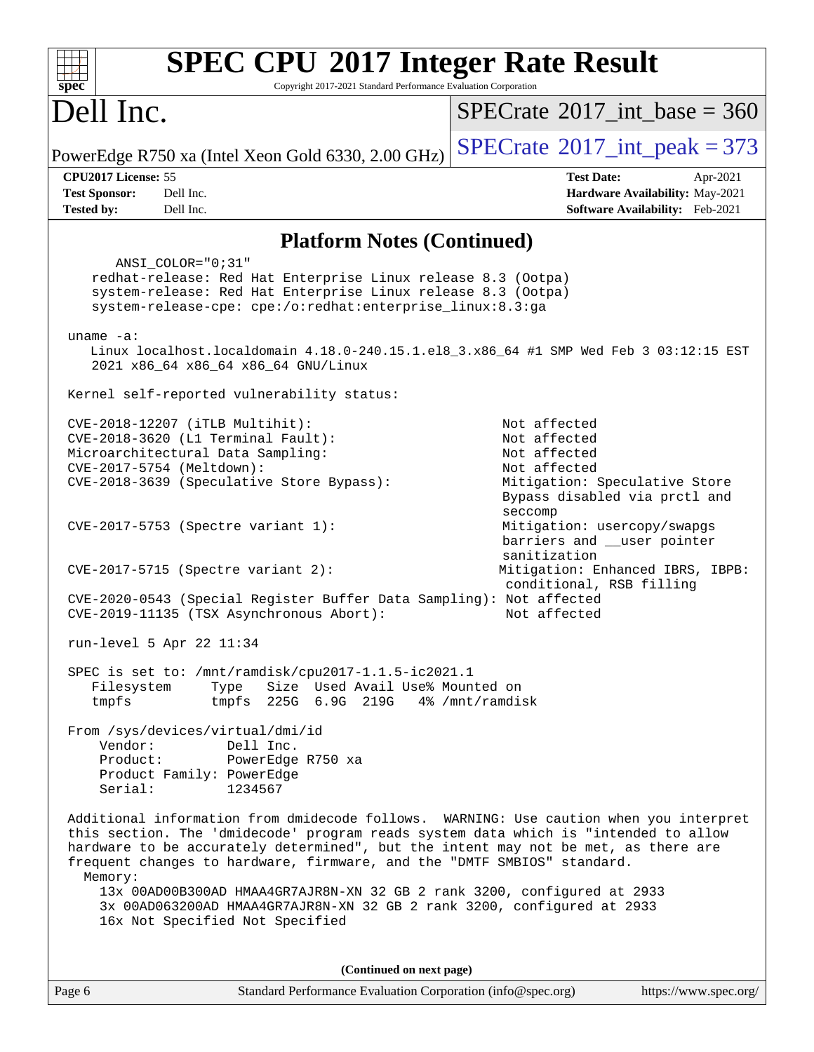| <b>SPEC CPU®2017 Integer Rate Result</b><br>spec <sup>®</sup><br>Copyright 2017-2021 Standard Performance Evaluation Corporation                                                                                                                                                                                                                                                                                                     |                                                                                                                                |  |  |  |  |
|--------------------------------------------------------------------------------------------------------------------------------------------------------------------------------------------------------------------------------------------------------------------------------------------------------------------------------------------------------------------------------------------------------------------------------------|--------------------------------------------------------------------------------------------------------------------------------|--|--|--|--|
| Dell Inc.                                                                                                                                                                                                                                                                                                                                                                                                                            | $SPECrate^{\circledast}2017$ int base = 360                                                                                    |  |  |  |  |
| PowerEdge R750 xa (Intel Xeon Gold 6330, 2.00 GHz)                                                                                                                                                                                                                                                                                                                                                                                   | $SPECTate@2017_int\_peak = 373$                                                                                                |  |  |  |  |
| CPU2017 License: 55<br>Dell Inc.<br><b>Test Sponsor:</b><br><b>Tested by:</b><br>Dell Inc.                                                                                                                                                                                                                                                                                                                                           | <b>Test Date:</b><br>Apr-2021<br>Hardware Availability: May-2021<br>Software Availability: Feb-2021                            |  |  |  |  |
| <b>Platform Notes (Continued)</b>                                                                                                                                                                                                                                                                                                                                                                                                    |                                                                                                                                |  |  |  |  |
| ANSI_COLOR="0;31"<br>redhat-release: Red Hat Enterprise Linux release 8.3 (Ootpa)<br>system-release: Red Hat Enterprise Linux release 8.3 (Ootpa)<br>system-release-cpe: cpe:/o:redhat:enterprise_linux:8.3:ga                                                                                                                                                                                                                       |                                                                                                                                |  |  |  |  |
| uname $-a$ :<br>Linux localhost.localdomain 4.18.0-240.15.1.el8_3.x86_64 #1 SMP Wed Feb 3 03:12:15 EST<br>2021 x86_64 x86_64 x86_64 GNU/Linux                                                                                                                                                                                                                                                                                        |                                                                                                                                |  |  |  |  |
| Kernel self-reported vulnerability status:                                                                                                                                                                                                                                                                                                                                                                                           |                                                                                                                                |  |  |  |  |
| CVE-2018-12207 (iTLB Multihit):<br>CVE-2018-3620 (L1 Terminal Fault):<br>Microarchitectural Data Sampling:<br>CVE-2017-5754 (Meltdown):<br>CVE-2018-3639 (Speculative Store Bypass):                                                                                                                                                                                                                                                 | Not affected<br>Not affected<br>Not affected<br>Not affected<br>Mitigation: Speculative Store<br>Bypass disabled via prctl and |  |  |  |  |
| CVE-2017-5753 (Spectre variant 1):                                                                                                                                                                                                                                                                                                                                                                                                   | seccomp<br>Mitigation: usercopy/swapgs<br>barriers and __user pointer<br>sanitization                                          |  |  |  |  |
| $CVE-2017-5715$ (Spectre variant 2):<br>CVE-2020-0543 (Special Register Buffer Data Sampling): Not affected                                                                                                                                                                                                                                                                                                                          | Mitigation: Enhanced IBRS, IBPB:<br>conditional, RSB filling                                                                   |  |  |  |  |
| CVE-2019-11135 (TSX Asynchronous Abort):<br>run-level 5 Apr 22 11:34                                                                                                                                                                                                                                                                                                                                                                 | Not affected                                                                                                                   |  |  |  |  |
| SPEC is set to: /mnt/ramdisk/cpu2017-1.1.5-ic2021.1<br>Size Used Avail Use% Mounted on<br>Filesystem<br>Type<br>tmpfs $225G$ $6.9G$ $219G$ $4%$ /mnt/ramdisk<br>tmpfs                                                                                                                                                                                                                                                                |                                                                                                                                |  |  |  |  |
| From /sys/devices/virtual/dmi/id<br>Vendor:<br>Dell Inc.<br>Product:<br>PowerEdge R750 xa<br>Product Family: PowerEdge<br>Serial:<br>1234567                                                                                                                                                                                                                                                                                         |                                                                                                                                |  |  |  |  |
| Additional information from dmidecode follows. WARNING: Use caution when you interpret<br>this section. The 'dmidecode' program reads system data which is "intended to allow<br>hardware to be accurately determined", but the intent may not be met, as there are<br>frequent changes to hardware, firmware, and the "DMTF SMBIOS" standard.<br>Memory:<br>13x 00AD00B300AD HMAA4GR7AJR8N-XN 32 GB 2 rank 3200, configured at 2933 |                                                                                                                                |  |  |  |  |
| 3x 00AD063200AD HMAA4GR7AJR8N-XN 32 GB 2 rank 3200, configured at 2933<br>16x Not Specified Not Specified                                                                                                                                                                                                                                                                                                                            |                                                                                                                                |  |  |  |  |
| (Continued on next page)                                                                                                                                                                                                                                                                                                                                                                                                             |                                                                                                                                |  |  |  |  |
| Page 6<br>Standard Performance Evaluation Corporation (info@spec.org)                                                                                                                                                                                                                                                                                                                                                                | https://www.spec.org/                                                                                                          |  |  |  |  |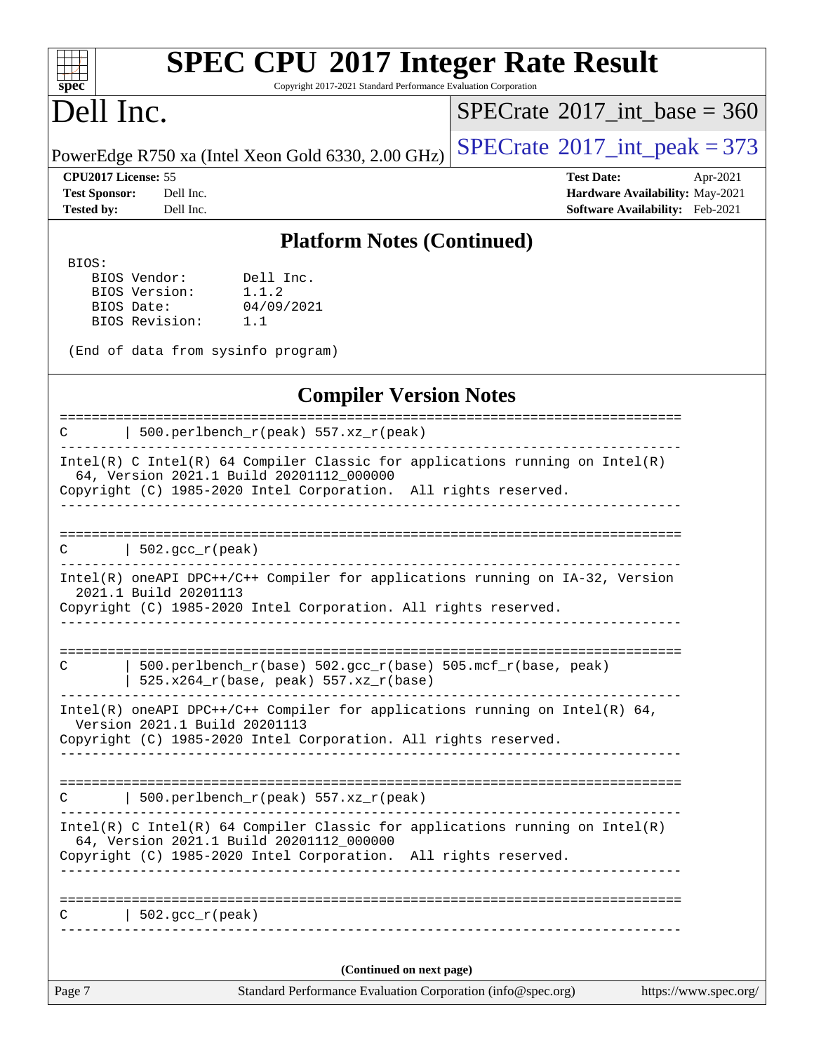Copyright 2017-2021 Standard Performance Evaluation Corporation

# Dell Inc.

**[spec](http://www.spec.org/)**

 $\pm$ 

 $SPECrate$ <sup>®</sup>[2017\\_int\\_base =](http://www.spec.org/auto/cpu2017/Docs/result-fields.html#SPECrate2017intbase) 360

PowerEdge R750 xa (Intel Xeon Gold 6330, 2.00 GHz)  $\left|$  [SPECrate](http://www.spec.org/auto/cpu2017/Docs/result-fields.html#SPECrate2017intpeak)®[2017\\_int\\_peak = 3](http://www.spec.org/auto/cpu2017/Docs/result-fields.html#SPECrate2017intpeak)73

**[Test Sponsor:](http://www.spec.org/auto/cpu2017/Docs/result-fields.html#TestSponsor)** Dell Inc. **[Hardware Availability:](http://www.spec.org/auto/cpu2017/Docs/result-fields.html#HardwareAvailability)** May-2021 **[Tested by:](http://www.spec.org/auto/cpu2017/Docs/result-fields.html#Testedby)** Dell Inc. **[Software Availability:](http://www.spec.org/auto/cpu2017/Docs/result-fields.html#SoftwareAvailability)** Feb-2021

**[CPU2017 License:](http://www.spec.org/auto/cpu2017/Docs/result-fields.html#CPU2017License)** 55 **[Test Date:](http://www.spec.org/auto/cpu2017/Docs/result-fields.html#TestDate)** Apr-2021

#### **[Platform Notes \(Continued\)](http://www.spec.org/auto/cpu2017/Docs/result-fields.html#PlatformNotes)**

 BIOS: BIOS Vendor: Dell Inc. BIOS Version: 1.1.2 BIOS Date: 04/09/2021 BIOS Revision: 1.1

(End of data from sysinfo program)

#### **[Compiler Version Notes](http://www.spec.org/auto/cpu2017/Docs/result-fields.html#CompilerVersionNotes)**

Page 7 Standard Performance Evaluation Corporation [\(info@spec.org\)](mailto:info@spec.org) <https://www.spec.org/> ============================================================================== C | 500.perlbench\_r(peak) 557.xz\_r(peak) ------------------------------------------------------------------------------ Intel(R) C Intel(R) 64 Compiler Classic for applications running on Intel(R) 64, Version 2021.1 Build 20201112\_000000 Copyright (C) 1985-2020 Intel Corporation. All rights reserved. ------------------------------------------------------------------------------ ==============================================================================  $C \qquad \qquad \vert \; 502.\text{gcc\_r}(\text{peak})$ ------------------------------------------------------------------------------ Intel(R) oneAPI DPC++/C++ Compiler for applications running on IA-32, Version 2021.1 Build 20201113 Copyright (C) 1985-2020 Intel Corporation. All rights reserved. ------------------------------------------------------------------------------ ============================================================================== C | 500.perlbench\_r(base) 502.gcc\_r(base) 505.mcf\_r(base, peak) | 525.x264\_r(base, peak) 557.xz\_r(base) ------------------------------------------------------------------------------ Intel(R) oneAPI DPC++/C++ Compiler for applications running on Intel(R) 64, Version 2021.1 Build 20201113 Copyright (C) 1985-2020 Intel Corporation. All rights reserved. ------------------------------------------------------------------------------ ============================================================================== C | 500.perlbench  $r(\text{peak})$  557.xz  $r(\text{peak})$ ------------------------------------------------------------------------------ Intel(R) C Intel(R) 64 Compiler Classic for applications running on Intel(R) 64, Version 2021.1 Build 20201112\_000000 Copyright (C) 1985-2020 Intel Corporation. All rights reserved. ------------------------------------------------------------------------------ ==============================================================================  $C \qquad | \quad 502.\text{gcc\_r}(\text{peak})$ ------------------------------------------------------------------------------ **(Continued on next page)**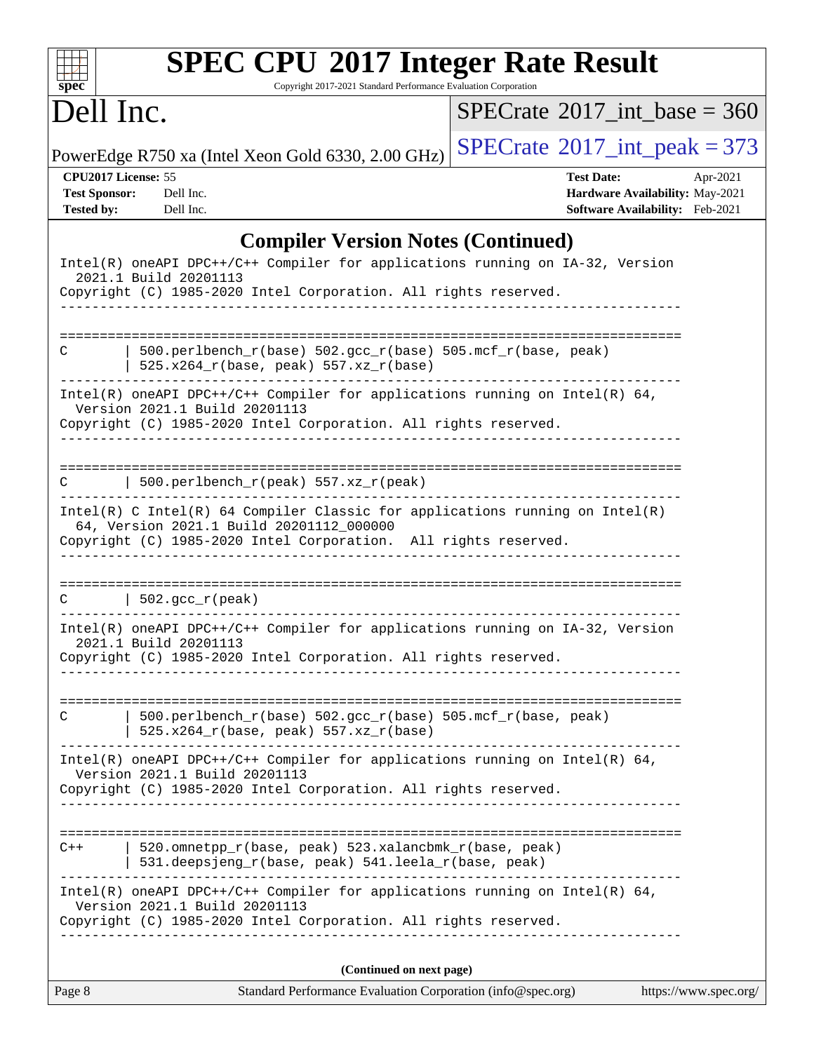| $spec^*$                                                         | <b>SPEC CPU®2017 Integer Rate Result</b><br>Copyright 2017-2021 Standard Performance Evaluation Corporation                                                                                                                         |                                                                                                     |  |
|------------------------------------------------------------------|-------------------------------------------------------------------------------------------------------------------------------------------------------------------------------------------------------------------------------------|-----------------------------------------------------------------------------------------------------|--|
| Dell Inc.                                                        |                                                                                                                                                                                                                                     | $SPECrate^{\circledast}2017$ int base = 360                                                         |  |
|                                                                  | PowerEdge R750 xa (Intel Xeon Gold 6330, 2.00 GHz)                                                                                                                                                                                  | $SPECTate$ <sup>®</sup> 2017_int_peak = 373                                                         |  |
| CPU2017 License: 55<br><b>Test Sponsor:</b><br><b>Tested by:</b> | Dell Inc.<br>Dell Inc.                                                                                                                                                                                                              | <b>Test Date:</b><br>Apr-2021<br>Hardware Availability: May-2021<br>Software Availability: Feb-2021 |  |
|                                                                  | <b>Compiler Version Notes (Continued)</b>                                                                                                                                                                                           |                                                                                                     |  |
|                                                                  | Intel(R) oneAPI DPC++/C++ Compiler for applications running on IA-32, Version<br>2021.1 Build 20201113<br>Copyright (C) 1985-2020 Intel Corporation. All rights reserved.                                                           |                                                                                                     |  |
| С                                                                | 500.perlbench_r(base) 502.gcc_r(base) 505.mcf_r(base, peak)<br>525.x264_r(base, peak) 557.xz_r(base)                                                                                                                                |                                                                                                     |  |
|                                                                  | Intel(R) oneAPI DPC++/C++ Compiler for applications running on Intel(R) 64,<br>Version 2021.1 Build 20201113<br>Copyright (C) 1985-2020 Intel Corporation. All rights reserved.                                                     | ------------------                                                                                  |  |
|                                                                  | 500.perlbench_r(peak) 557.xz_r(peak)<br>Intel(R) C Intel(R) 64 Compiler Classic for applications running on Intel(R)<br>64, Version 2021.1 Build 20201112_000000<br>Copyright (C) 1985-2020 Intel Corporation. All rights reserved. |                                                                                                     |  |
| C                                                                | $\vert$ 502.gcc_r(peak)<br>Intel(R) oneAPI DPC++/C++ Compiler for applications running on IA-32, Version                                                                                                                            |                                                                                                     |  |
|                                                                  | 2021.1 Build 20201113<br>Copyright (C) 1985-2020 Intel Corporation. All rights reserved.                                                                                                                                            |                                                                                                     |  |
| C                                                                | 500.perlbench_r(base) 502.gcc_r(base) 505.mcf_r(base, peak)<br>$525.x264_r(base, peak) 557.xz_r(base)$                                                                                                                              |                                                                                                     |  |
|                                                                  | Intel(R) oneAPI DPC++/C++ Compiler for applications running on Intel(R) 64,<br>Version 2021.1 Build 20201113<br>Copyright (C) 1985-2020 Intel Corporation. All rights reserved.                                                     |                                                                                                     |  |
| $C++$                                                            | 520.omnetpp_r(base, peak) 523.xalancbmk_r(base, peak)<br>531.deepsjeng_r(base, peak) 541.leela_r(base, peak)                                                                                                                        |                                                                                                     |  |
|                                                                  | Intel(R) oneAPI DPC++/C++ Compiler for applications running on Intel(R) $64$ ,<br>Version 2021.1 Build 20201113<br>Copyright (C) 1985-2020 Intel Corporation. All rights reserved.                                                  |                                                                                                     |  |
|                                                                  | (Continued on next page)                                                                                                                                                                                                            |                                                                                                     |  |
| Page 8                                                           | Standard Performance Evaluation Corporation (info@spec.org)                                                                                                                                                                         | https://www.spec.org/                                                                               |  |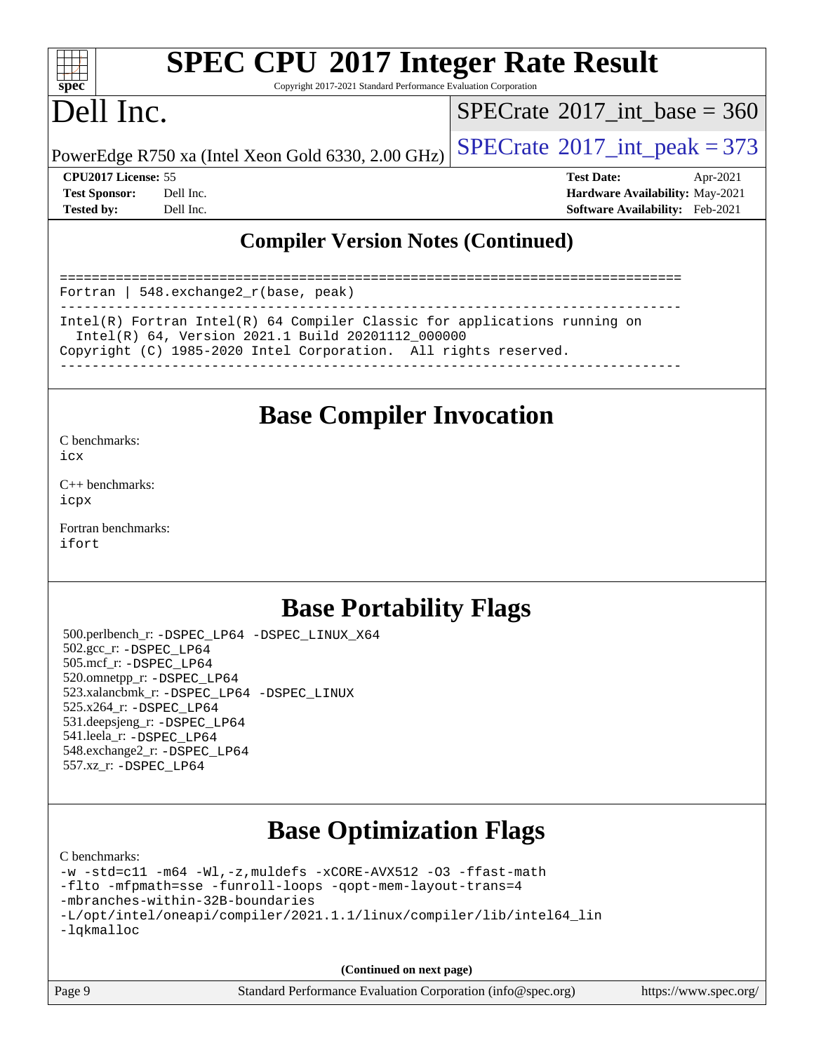| S.<br>n<br>æ<br>Ċ. |  |  |  |  |  |
|--------------------|--|--|--|--|--|

Copyright 2017-2021 Standard Performance Evaluation Corporation

# Dell Inc.

 $SPECTate$ <sup>®</sup>[2017\\_int\\_base =](http://www.spec.org/auto/cpu2017/Docs/result-fields.html#SPECrate2017intbase) 360

PowerEdge R750 xa (Intel Xeon Gold 6330, 2.00 GHz)  $\left|$  [SPECrate](http://www.spec.org/auto/cpu2017/Docs/result-fields.html#SPECrate2017intpeak)®[2017\\_int\\_peak = 3](http://www.spec.org/auto/cpu2017/Docs/result-fields.html#SPECrate2017intpeak)73

**[CPU2017 License:](http://www.spec.org/auto/cpu2017/Docs/result-fields.html#CPU2017License)** 55 **[Test Date:](http://www.spec.org/auto/cpu2017/Docs/result-fields.html#TestDate)** Apr-2021 **[Test Sponsor:](http://www.spec.org/auto/cpu2017/Docs/result-fields.html#TestSponsor)** Dell Inc. **[Hardware Availability:](http://www.spec.org/auto/cpu2017/Docs/result-fields.html#HardwareAvailability)** May-2021 **[Tested by:](http://www.spec.org/auto/cpu2017/Docs/result-fields.html#Testedby)** Dell Inc. **[Software Availability:](http://www.spec.org/auto/cpu2017/Docs/result-fields.html#SoftwareAvailability)** Feb-2021

### **[Compiler Version Notes \(Continued\)](http://www.spec.org/auto/cpu2017/Docs/result-fields.html#CompilerVersionNotes)**

============================================================================== Fortran | 548.exchange2\_r(base, peak) ------------------------------------------------------------------------------ Intel(R) Fortran Intel(R) 64 Compiler Classic for applications running on Intel(R) 64, Version 2021.1 Build 20201112\_000000

Copyright (C) 1985-2020 Intel Corporation. All rights reserved.

------------------------------------------------------------------------------

## **[Base Compiler Invocation](http://www.spec.org/auto/cpu2017/Docs/result-fields.html#BaseCompilerInvocation)**

[C benchmarks](http://www.spec.org/auto/cpu2017/Docs/result-fields.html#Cbenchmarks): [icx](http://www.spec.org/cpu2017/results/res2021q2/cpu2017-20210510-26097.flags.html#user_CCbase_intel_icx_fe2d28d19ae2a5db7c42fe0f2a2aed77cb715edd4aeb23434404a8be6683fe239869bb6ca8154ca98265c2e3b9226a719a0efe2953a4a7018c379b7010ccf087)

[C++ benchmarks:](http://www.spec.org/auto/cpu2017/Docs/result-fields.html#CXXbenchmarks) [icpx](http://www.spec.org/cpu2017/results/res2021q2/cpu2017-20210510-26097.flags.html#user_CXXbase_intel_icpx_1e918ed14c436bf4b9b7c8bcdd51d4539fc71b3df010bd1e9f8732d9c34c2b2914e48204a846820f3c0ebb4095dea797a5c30b458ac0b6dffac65d78f781f5ca)

[Fortran benchmarks](http://www.spec.org/auto/cpu2017/Docs/result-fields.html#Fortranbenchmarks): [ifort](http://www.spec.org/cpu2017/results/res2021q2/cpu2017-20210510-26097.flags.html#user_FCbase_intel_ifort_8111460550e3ca792625aed983ce982f94888b8b503583aa7ba2b8303487b4d8a21a13e7191a45c5fd58ff318f48f9492884d4413fa793fd88dd292cad7027ca)

## **[Base Portability Flags](http://www.spec.org/auto/cpu2017/Docs/result-fields.html#BasePortabilityFlags)**

 500.perlbench\_r: [-DSPEC\\_LP64](http://www.spec.org/cpu2017/results/res2021q2/cpu2017-20210510-26097.flags.html#b500.perlbench_r_basePORTABILITY_DSPEC_LP64) [-DSPEC\\_LINUX\\_X64](http://www.spec.org/cpu2017/results/res2021q2/cpu2017-20210510-26097.flags.html#b500.perlbench_r_baseCPORTABILITY_DSPEC_LINUX_X64) 502.gcc\_r: [-DSPEC\\_LP64](http://www.spec.org/cpu2017/results/res2021q2/cpu2017-20210510-26097.flags.html#suite_basePORTABILITY502_gcc_r_DSPEC_LP64) 505.mcf\_r: [-DSPEC\\_LP64](http://www.spec.org/cpu2017/results/res2021q2/cpu2017-20210510-26097.flags.html#suite_basePORTABILITY505_mcf_r_DSPEC_LP64) 520.omnetpp\_r: [-DSPEC\\_LP64](http://www.spec.org/cpu2017/results/res2021q2/cpu2017-20210510-26097.flags.html#suite_basePORTABILITY520_omnetpp_r_DSPEC_LP64) 523.xalancbmk\_r: [-DSPEC\\_LP64](http://www.spec.org/cpu2017/results/res2021q2/cpu2017-20210510-26097.flags.html#suite_basePORTABILITY523_xalancbmk_r_DSPEC_LP64) [-DSPEC\\_LINUX](http://www.spec.org/cpu2017/results/res2021q2/cpu2017-20210510-26097.flags.html#b523.xalancbmk_r_baseCXXPORTABILITY_DSPEC_LINUX) 525.x264\_r: [-DSPEC\\_LP64](http://www.spec.org/cpu2017/results/res2021q2/cpu2017-20210510-26097.flags.html#suite_basePORTABILITY525_x264_r_DSPEC_LP64) 531.deepsjeng\_r: [-DSPEC\\_LP64](http://www.spec.org/cpu2017/results/res2021q2/cpu2017-20210510-26097.flags.html#suite_basePORTABILITY531_deepsjeng_r_DSPEC_LP64) 541.leela\_r: [-DSPEC\\_LP64](http://www.spec.org/cpu2017/results/res2021q2/cpu2017-20210510-26097.flags.html#suite_basePORTABILITY541_leela_r_DSPEC_LP64) 548.exchange2\_r: [-DSPEC\\_LP64](http://www.spec.org/cpu2017/results/res2021q2/cpu2017-20210510-26097.flags.html#suite_basePORTABILITY548_exchange2_r_DSPEC_LP64) 557.xz\_r: [-DSPEC\\_LP64](http://www.spec.org/cpu2017/results/res2021q2/cpu2017-20210510-26097.flags.html#suite_basePORTABILITY557_xz_r_DSPEC_LP64)

## **[Base Optimization Flags](http://www.spec.org/auto/cpu2017/Docs/result-fields.html#BaseOptimizationFlags)**

[C benchmarks](http://www.spec.org/auto/cpu2017/Docs/result-fields.html#Cbenchmarks):

```
-w -std=c11 -m64 -Wl,-z,muldefs -xCORE-AVX512 -O3 -ffast-math
-flto -mfpmath=sse -funroll-loops -qopt-mem-layout-trans=4
-mbranches-within-32B-boundaries
-L/opt/intel/oneapi/compiler/2021.1.1/linux/compiler/lib/intel64_lin
-lqkmalloc
```
**(Continued on next page)**

| Page 9 | Standard Performance Evaluation Corporation (info@spec.org) | https://www.spec.org/ |
|--------|-------------------------------------------------------------|-----------------------|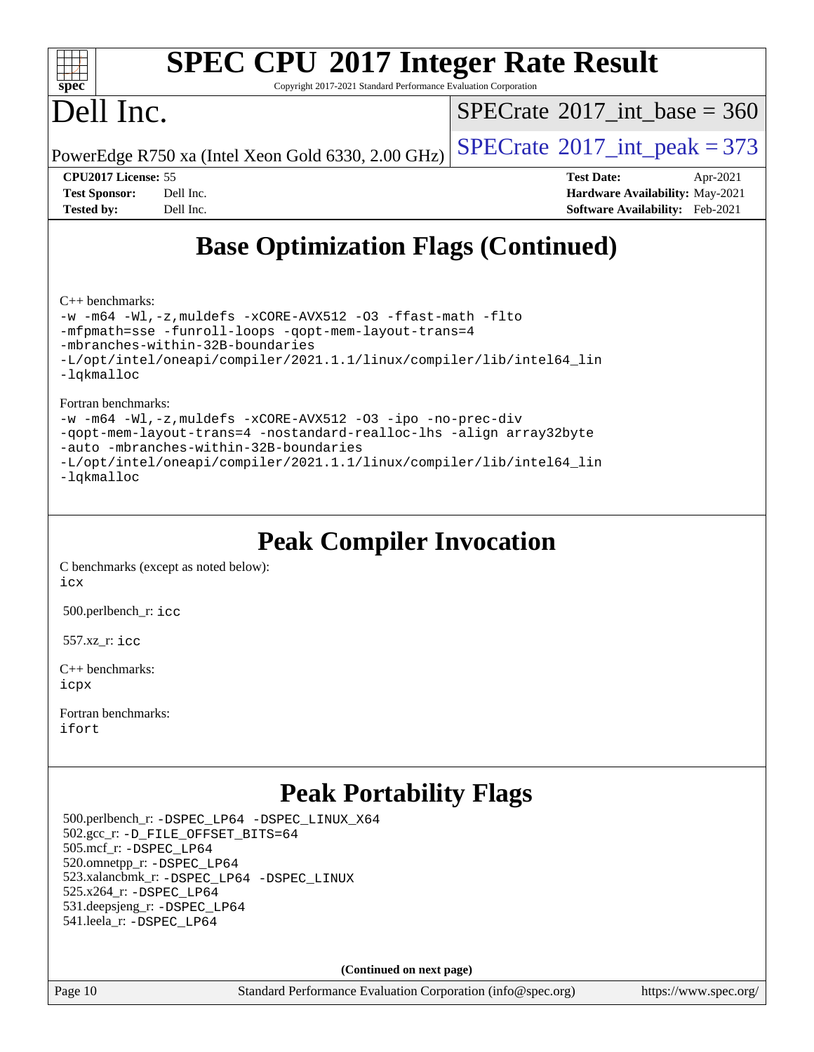

Copyright 2017-2021 Standard Performance Evaluation Corporation

# Dell Inc.

 $SPECTate@2017_int\_base = 360$ 

PowerEdge R750 xa (Intel Xeon Gold 6330, 2.00 GHz)  $\left|$  [SPECrate](http://www.spec.org/auto/cpu2017/Docs/result-fields.html#SPECrate2017intpeak)<sup>®</sup>[2017\\_int\\_peak = 3](http://www.spec.org/auto/cpu2017/Docs/result-fields.html#SPECrate2017intpeak)73

**[CPU2017 License:](http://www.spec.org/auto/cpu2017/Docs/result-fields.html#CPU2017License)** 55 **[Test Date:](http://www.spec.org/auto/cpu2017/Docs/result-fields.html#TestDate)** Apr-2021 **[Test Sponsor:](http://www.spec.org/auto/cpu2017/Docs/result-fields.html#TestSponsor)** Dell Inc. **[Hardware Availability:](http://www.spec.org/auto/cpu2017/Docs/result-fields.html#HardwareAvailability)** May-2021 **[Tested by:](http://www.spec.org/auto/cpu2017/Docs/result-fields.html#Testedby)** Dell Inc. **[Software Availability:](http://www.spec.org/auto/cpu2017/Docs/result-fields.html#SoftwareAvailability)** Feb-2021

# **[Base Optimization Flags \(Continued\)](http://www.spec.org/auto/cpu2017/Docs/result-fields.html#BaseOptimizationFlags)**

[C++ benchmarks:](http://www.spec.org/auto/cpu2017/Docs/result-fields.html#CXXbenchmarks)

[-w](http://www.spec.org/cpu2017/results/res2021q2/cpu2017-20210510-26097.flags.html#user_CXXbase_supress_warning_66fb2c4e5c1dd10f38bdd29623979399e5ae75ae6e5453792d82ef66afed381df4a8602f92cac8d2ea0fffa7b93b4b1ccb9ecad4af01c9b2fe338b2082ae3859) [-m64](http://www.spec.org/cpu2017/results/res2021q2/cpu2017-20210510-26097.flags.html#user_CXXbase_m64-icc) [-Wl,-z,muldefs](http://www.spec.org/cpu2017/results/res2021q2/cpu2017-20210510-26097.flags.html#user_CXXbase_link_force_multiple1_b4cbdb97b34bdee9ceefcfe54f4c8ea74255f0b02a4b23e853cdb0e18eb4525ac79b5a88067c842dd0ee6996c24547a27a4b99331201badda8798ef8a743f577) [-xCORE-AVX512](http://www.spec.org/cpu2017/results/res2021q2/cpu2017-20210510-26097.flags.html#user_CXXbase_f-xCORE-AVX512) [-O3](http://www.spec.org/cpu2017/results/res2021q2/cpu2017-20210510-26097.flags.html#user_CXXbase_f-O3) [-ffast-math](http://www.spec.org/cpu2017/results/res2021q2/cpu2017-20210510-26097.flags.html#user_CXXbase_f-ffast-math) [-flto](http://www.spec.org/cpu2017/results/res2021q2/cpu2017-20210510-26097.flags.html#user_CXXbase_f-flto) [-mfpmath=sse](http://www.spec.org/cpu2017/results/res2021q2/cpu2017-20210510-26097.flags.html#user_CXXbase_f-mfpmath_70eb8fac26bde974f8ab713bc9086c5621c0b8d2f6c86f38af0bd7062540daf19db5f3a066d8c6684be05d84c9b6322eb3b5be6619d967835195b93d6c02afa1) [-funroll-loops](http://www.spec.org/cpu2017/results/res2021q2/cpu2017-20210510-26097.flags.html#user_CXXbase_f-funroll-loops) [-qopt-mem-layout-trans=4](http://www.spec.org/cpu2017/results/res2021q2/cpu2017-20210510-26097.flags.html#user_CXXbase_f-qopt-mem-layout-trans_fa39e755916c150a61361b7846f310bcdf6f04e385ef281cadf3647acec3f0ae266d1a1d22d972a7087a248fd4e6ca390a3634700869573d231a252c784941a8) [-mbranches-within-32B-boundaries](http://www.spec.org/cpu2017/results/res2021q2/cpu2017-20210510-26097.flags.html#user_CXXbase_f-mbranches-within-32B-boundaries) [-L/opt/intel/oneapi/compiler/2021.1.1/linux/compiler/lib/intel64\\_lin](http://www.spec.org/cpu2017/results/res2021q2/cpu2017-20210510-26097.flags.html#user_CXXbase_linkpath_f3ac96bc44eb3356c66274e76f12ce7989555e6431aa425d8bf37251b5a0a8e4f20d385a762420f3e0cdf627bb737484454017ddfa67f55a42ce17058c8be12d) [-lqkmalloc](http://www.spec.org/cpu2017/results/res2021q2/cpu2017-20210510-26097.flags.html#user_CXXbase_qkmalloc_link_lib_79a818439969f771c6bc311cfd333c00fc099dad35c030f5aab9dda831713d2015205805422f83de8875488a2991c0a156aaa600e1f9138f8fc37004abc96dc5)

[Fortran benchmarks](http://www.spec.org/auto/cpu2017/Docs/result-fields.html#Fortranbenchmarks):

[-w](http://www.spec.org/cpu2017/results/res2021q2/cpu2017-20210510-26097.flags.html#user_FCbase_supress_warning_66fb2c4e5c1dd10f38bdd29623979399e5ae75ae6e5453792d82ef66afed381df4a8602f92cac8d2ea0fffa7b93b4b1ccb9ecad4af01c9b2fe338b2082ae3859) [-m64](http://www.spec.org/cpu2017/results/res2021q2/cpu2017-20210510-26097.flags.html#user_FCbase_m64-icc) [-Wl,-z,muldefs](http://www.spec.org/cpu2017/results/res2021q2/cpu2017-20210510-26097.flags.html#user_FCbase_link_force_multiple1_b4cbdb97b34bdee9ceefcfe54f4c8ea74255f0b02a4b23e853cdb0e18eb4525ac79b5a88067c842dd0ee6996c24547a27a4b99331201badda8798ef8a743f577) [-xCORE-AVX512](http://www.spec.org/cpu2017/results/res2021q2/cpu2017-20210510-26097.flags.html#user_FCbase_f-xCORE-AVX512) [-O3](http://www.spec.org/cpu2017/results/res2021q2/cpu2017-20210510-26097.flags.html#user_FCbase_f-O3) [-ipo](http://www.spec.org/cpu2017/results/res2021q2/cpu2017-20210510-26097.flags.html#user_FCbase_f-ipo) [-no-prec-div](http://www.spec.org/cpu2017/results/res2021q2/cpu2017-20210510-26097.flags.html#user_FCbase_f-no-prec-div) [-qopt-mem-layout-trans=4](http://www.spec.org/cpu2017/results/res2021q2/cpu2017-20210510-26097.flags.html#user_FCbase_f-qopt-mem-layout-trans_fa39e755916c150a61361b7846f310bcdf6f04e385ef281cadf3647acec3f0ae266d1a1d22d972a7087a248fd4e6ca390a3634700869573d231a252c784941a8) [-nostandard-realloc-lhs](http://www.spec.org/cpu2017/results/res2021q2/cpu2017-20210510-26097.flags.html#user_FCbase_f_2003_std_realloc_82b4557e90729c0f113870c07e44d33d6f5a304b4f63d4c15d2d0f1fab99f5daaed73bdb9275d9ae411527f28b936061aa8b9c8f2d63842963b95c9dd6426b8a) [-align array32byte](http://www.spec.org/cpu2017/results/res2021q2/cpu2017-20210510-26097.flags.html#user_FCbase_align_array32byte_b982fe038af199962ba9a80c053b8342c548c85b40b8e86eb3cc33dee0d7986a4af373ac2d51c3f7cf710a18d62fdce2948f201cd044323541f22fc0fffc51b6) [-auto](http://www.spec.org/cpu2017/results/res2021q2/cpu2017-20210510-26097.flags.html#user_FCbase_f-auto) [-mbranches-within-32B-boundaries](http://www.spec.org/cpu2017/results/res2021q2/cpu2017-20210510-26097.flags.html#user_FCbase_f-mbranches-within-32B-boundaries) [-L/opt/intel/oneapi/compiler/2021.1.1/linux/compiler/lib/intel64\\_lin](http://www.spec.org/cpu2017/results/res2021q2/cpu2017-20210510-26097.flags.html#user_FCbase_linkpath_f3ac96bc44eb3356c66274e76f12ce7989555e6431aa425d8bf37251b5a0a8e4f20d385a762420f3e0cdf627bb737484454017ddfa67f55a42ce17058c8be12d) [-lqkmalloc](http://www.spec.org/cpu2017/results/res2021q2/cpu2017-20210510-26097.flags.html#user_FCbase_qkmalloc_link_lib_79a818439969f771c6bc311cfd333c00fc099dad35c030f5aab9dda831713d2015205805422f83de8875488a2991c0a156aaa600e1f9138f8fc37004abc96dc5)

# **[Peak Compiler Invocation](http://www.spec.org/auto/cpu2017/Docs/result-fields.html#PeakCompilerInvocation)**

[C benchmarks \(except as noted below\)](http://www.spec.org/auto/cpu2017/Docs/result-fields.html#Cbenchmarksexceptasnotedbelow): [icx](http://www.spec.org/cpu2017/results/res2021q2/cpu2017-20210510-26097.flags.html#user_CCpeak_intel_icx_fe2d28d19ae2a5db7c42fe0f2a2aed77cb715edd4aeb23434404a8be6683fe239869bb6ca8154ca98265c2e3b9226a719a0efe2953a4a7018c379b7010ccf087)

500.perlbench\_r: [icc](http://www.spec.org/cpu2017/results/res2021q2/cpu2017-20210510-26097.flags.html#user_peakCCLD500_perlbench_r_intel_icc_66fc1ee009f7361af1fbd72ca7dcefbb700085f36577c54f309893dd4ec40d12360134090235512931783d35fd58c0460139e722d5067c5574d8eaf2b3e37e92)

557.xz\_r: [icc](http://www.spec.org/cpu2017/results/res2021q2/cpu2017-20210510-26097.flags.html#user_peakCCLD557_xz_r_intel_icc_66fc1ee009f7361af1fbd72ca7dcefbb700085f36577c54f309893dd4ec40d12360134090235512931783d35fd58c0460139e722d5067c5574d8eaf2b3e37e92)

[C++ benchmarks:](http://www.spec.org/auto/cpu2017/Docs/result-fields.html#CXXbenchmarks) [icpx](http://www.spec.org/cpu2017/results/res2021q2/cpu2017-20210510-26097.flags.html#user_CXXpeak_intel_icpx_1e918ed14c436bf4b9b7c8bcdd51d4539fc71b3df010bd1e9f8732d9c34c2b2914e48204a846820f3c0ebb4095dea797a5c30b458ac0b6dffac65d78f781f5ca)

[Fortran benchmarks](http://www.spec.org/auto/cpu2017/Docs/result-fields.html#Fortranbenchmarks): [ifort](http://www.spec.org/cpu2017/results/res2021q2/cpu2017-20210510-26097.flags.html#user_FCpeak_intel_ifort_8111460550e3ca792625aed983ce982f94888b8b503583aa7ba2b8303487b4d8a21a13e7191a45c5fd58ff318f48f9492884d4413fa793fd88dd292cad7027ca)

## **[Peak Portability Flags](http://www.spec.org/auto/cpu2017/Docs/result-fields.html#PeakPortabilityFlags)**

 500.perlbench\_r: [-DSPEC\\_LP64](http://www.spec.org/cpu2017/results/res2021q2/cpu2017-20210510-26097.flags.html#b500.perlbench_r_peakPORTABILITY_DSPEC_LP64) [-DSPEC\\_LINUX\\_X64](http://www.spec.org/cpu2017/results/res2021q2/cpu2017-20210510-26097.flags.html#b500.perlbench_r_peakCPORTABILITY_DSPEC_LINUX_X64) 502.gcc\_r: [-D\\_FILE\\_OFFSET\\_BITS=64](http://www.spec.org/cpu2017/results/res2021q2/cpu2017-20210510-26097.flags.html#user_peakPORTABILITY502_gcc_r_file_offset_bits_64_5ae949a99b284ddf4e95728d47cb0843d81b2eb0e18bdfe74bbf0f61d0b064f4bda2f10ea5eb90e1dcab0e84dbc592acfc5018bc955c18609f94ddb8d550002c) 505.mcf\_r: [-DSPEC\\_LP64](http://www.spec.org/cpu2017/results/res2021q2/cpu2017-20210510-26097.flags.html#suite_peakPORTABILITY505_mcf_r_DSPEC_LP64) 520.omnetpp\_r: [-DSPEC\\_LP64](http://www.spec.org/cpu2017/results/res2021q2/cpu2017-20210510-26097.flags.html#suite_peakPORTABILITY520_omnetpp_r_DSPEC_LP64) 523.xalancbmk\_r: [-DSPEC\\_LP64](http://www.spec.org/cpu2017/results/res2021q2/cpu2017-20210510-26097.flags.html#suite_peakPORTABILITY523_xalancbmk_r_DSPEC_LP64) [-DSPEC\\_LINUX](http://www.spec.org/cpu2017/results/res2021q2/cpu2017-20210510-26097.flags.html#b523.xalancbmk_r_peakCXXPORTABILITY_DSPEC_LINUX) 525.x264\_r: [-DSPEC\\_LP64](http://www.spec.org/cpu2017/results/res2021q2/cpu2017-20210510-26097.flags.html#suite_peakPORTABILITY525_x264_r_DSPEC_LP64) 531.deepsjeng\_r: [-DSPEC\\_LP64](http://www.spec.org/cpu2017/results/res2021q2/cpu2017-20210510-26097.flags.html#suite_peakPORTABILITY531_deepsjeng_r_DSPEC_LP64) 541.leela\_r: [-DSPEC\\_LP64](http://www.spec.org/cpu2017/results/res2021q2/cpu2017-20210510-26097.flags.html#suite_peakPORTABILITY541_leela_r_DSPEC_LP64)

**(Continued on next page)**

Page 10 Standard Performance Evaluation Corporation [\(info@spec.org\)](mailto:info@spec.org) <https://www.spec.org/>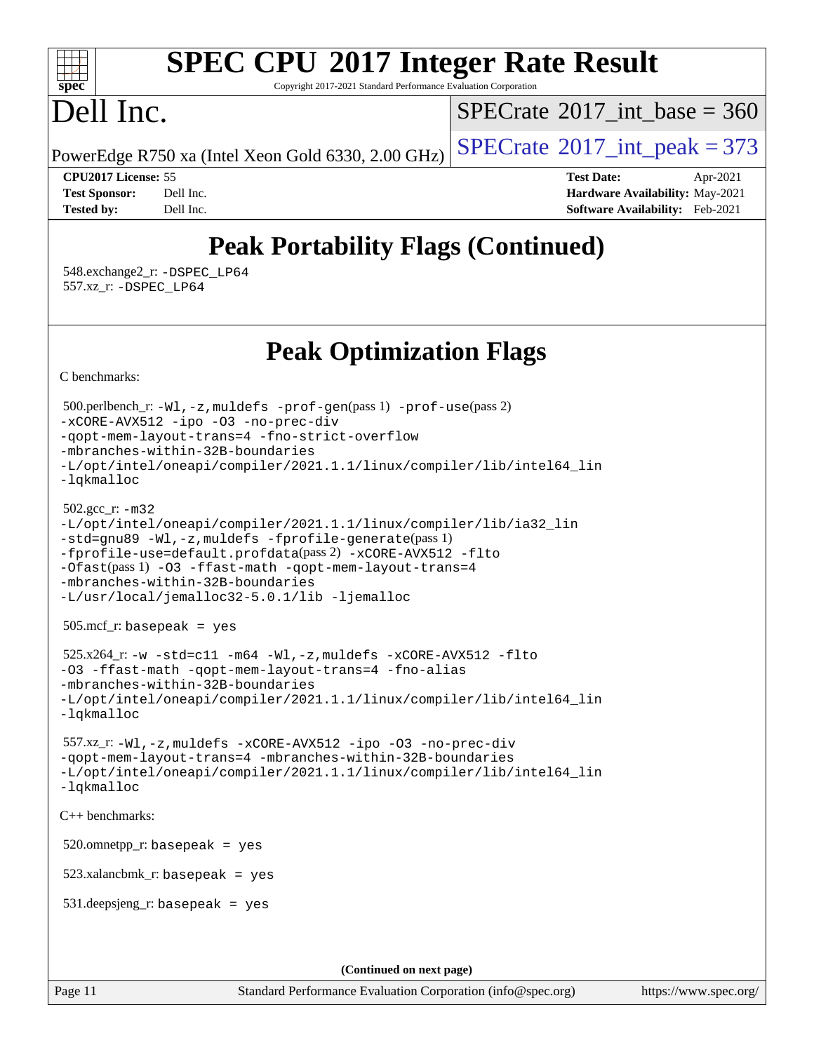Copyright 2017-2021 Standard Performance Evaluation Corporation

# Dell Inc.

**[spec](http://www.spec.org/)**

 $+\ +$ 

 $SPECTate@2017_int\_base = 360$ 

PowerEdge R750 xa (Intel Xeon Gold 6330, 2.00 GHz)  $\left|$  [SPECrate](http://www.spec.org/auto/cpu2017/Docs/result-fields.html#SPECrate2017intpeak)<sup>®</sup>[2017\\_int\\_peak = 3](http://www.spec.org/auto/cpu2017/Docs/result-fields.html#SPECrate2017intpeak)73

**[CPU2017 License:](http://www.spec.org/auto/cpu2017/Docs/result-fields.html#CPU2017License)** 55 **[Test Date:](http://www.spec.org/auto/cpu2017/Docs/result-fields.html#TestDate)** Apr-2021 **[Test Sponsor:](http://www.spec.org/auto/cpu2017/Docs/result-fields.html#TestSponsor)** Dell Inc. **[Hardware Availability:](http://www.spec.org/auto/cpu2017/Docs/result-fields.html#HardwareAvailability)** May-2021 **[Tested by:](http://www.spec.org/auto/cpu2017/Docs/result-fields.html#Testedby)** Dell Inc. **[Software Availability:](http://www.spec.org/auto/cpu2017/Docs/result-fields.html#SoftwareAvailability)** Feb-2021

# **[Peak Portability Flags \(Continued\)](http://www.spec.org/auto/cpu2017/Docs/result-fields.html#PeakPortabilityFlags)**

 548.exchange2\_r: [-DSPEC\\_LP64](http://www.spec.org/cpu2017/results/res2021q2/cpu2017-20210510-26097.flags.html#suite_peakPORTABILITY548_exchange2_r_DSPEC_LP64) 557.xz\_r: [-DSPEC\\_LP64](http://www.spec.org/cpu2017/results/res2021q2/cpu2017-20210510-26097.flags.html#suite_peakPORTABILITY557_xz_r_DSPEC_LP64)

**[Peak Optimization Flags](http://www.spec.org/auto/cpu2017/Docs/result-fields.html#PeakOptimizationFlags)**

[C benchmarks](http://www.spec.org/auto/cpu2017/Docs/result-fields.html#Cbenchmarks):

```
Page 11 Standard Performance Evaluation Corporation (info@spec.org) https://www.spec.org/
  500.perlbench_r: -Wl,-z,muldefs -prof-gen(pass 1) -prof-use(pass 2)
-xCORE-AVX512 -ipo -O3 -no-prec-div
-qopt-mem-layout-trans=4 -fno-strict-overflow
-mbranches-within-32B-boundaries
-L/opt/intel/oneapi/compiler/2021.1.1/linux/compiler/lib/intel64_lin
-lqkmalloc
  502.gcc_r: -m32
-L/opt/intel/oneapi/compiler/2021.1.1/linux/compiler/lib/ia32_lin
-std=gnu89 -Wl,-z,muldefs -fprofile-generate(pass 1)
-fprofile-use=default.profdata(pass 2) -xCORE-AVX512 -flto
-Ofast(pass 1) -O3 -ffast-math -qopt-mem-layout-trans=4
-mbranches-within-32B-boundaries
-L/usr/local/jemalloc32-5.0.1/lib -ljemalloc
  505.mcf_r: basepeak = yes
 525.x264_r: -w -std=cl1 -m64 -W1, -z, muldefs -xCORE-AVX512 -f1to-O3 -ffast-math -qopt-mem-layout-trans=4 -fno-alias
-mbranches-within-32B-boundaries
-L/opt/intel/oneapi/compiler/2021.1.1/linux/compiler/lib/intel64_lin
-lqkmalloc
  557.xz_r: -Wl,-z,muldefs -xCORE-AVX512 -ipo -O3 -no-prec-div
-qopt-mem-layout-trans=4 -mbranches-within-32B-boundaries
-L/opt/intel/oneapi/compiler/2021.1.1/linux/compiler/lib/intel64_lin
-lqkmalloc
C++ benchmarks: 
 520.omnetpp_r: basepeak = yes
  523.xalancbmk_r: basepeak = yes
  531.deepsjeng_r: basepeak = yes
                                      (Continued on next page)
```